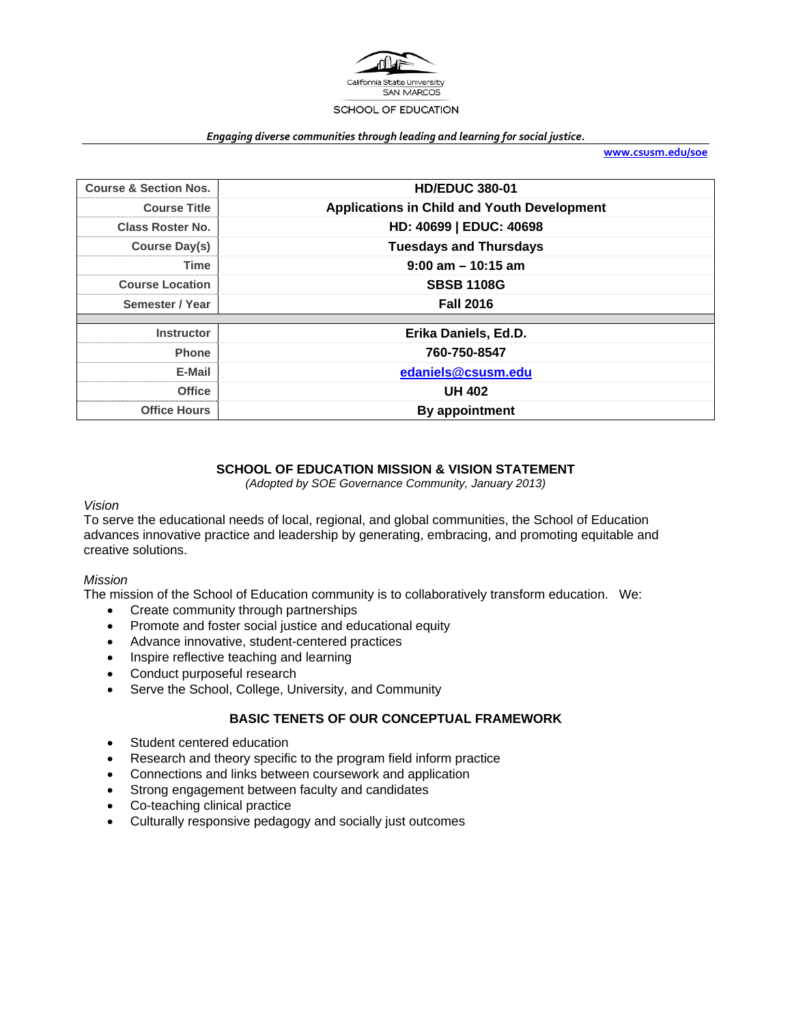

#### *Engaging diverse communities through leading and learning for social justice.*

**www.csusm.edu/soe**

| <b>Course &amp; Section Nos.</b> | <b>HD/EDUC 380-01</b>                              |
|----------------------------------|----------------------------------------------------|
| <b>Course Title</b>              | <b>Applications in Child and Youth Development</b> |
| <b>Class Roster No.</b>          | HD: 40699   EDUC: 40698                            |
| Course Day(s)                    | <b>Tuesdays and Thursdays</b>                      |
| <b>Time</b>                      | $9:00$ am $-10:15$ am                              |
| <b>Course Location</b>           | <b>SBSB 1108G</b>                                  |
| Semester / Year                  | <b>Fall 2016</b>                                   |
|                                  |                                                    |
| <b>Instructor</b>                | Erika Daniels, Ed.D.                               |
| <b>Phone</b>                     | 760-750-8547                                       |
| E-Mail                           | edaniels@csusm.edu                                 |
| <b>Office</b>                    | <b>UH 402</b>                                      |
| <b>Office Hours</b>              | By appointment                                     |

### **SCHOOL OF EDUCATION MISSION & VISION STATEMENT**

*(Adopted by SOE Governance Community, January 2013)* 

#### *Vision*

To serve the educational needs of local, regional, and global communities, the School of Education advances innovative practice and leadership by generating, embracing, and promoting equitable and creative solutions.

#### *Mission*

The mission of the School of Education community is to collaboratively transform education. We:

- Create community through partnerships
- Promote and foster social justice and educational equity
- Advance innovative, student-centered practices
- Inspire reflective teaching and learning
- Conduct purposeful research
- Serve the School, College, University, and Community

#### **BASIC TENETS OF OUR CONCEPTUAL FRAMEWORK**

- Student centered education
- Research and theory specific to the program field inform practice
- Connections and links between coursework and application
- Strong engagement between faculty and candidates
- Co-teaching clinical practice
- Culturally responsive pedagogy and socially just outcomes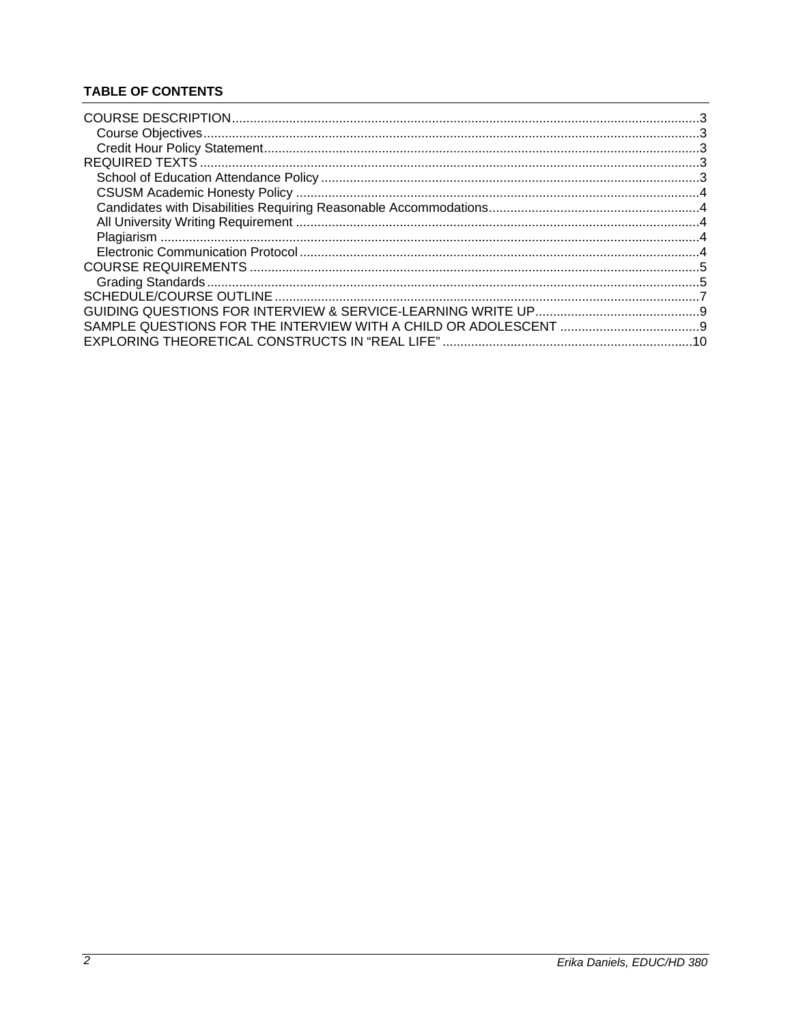# **TABLE OF CONTENTS**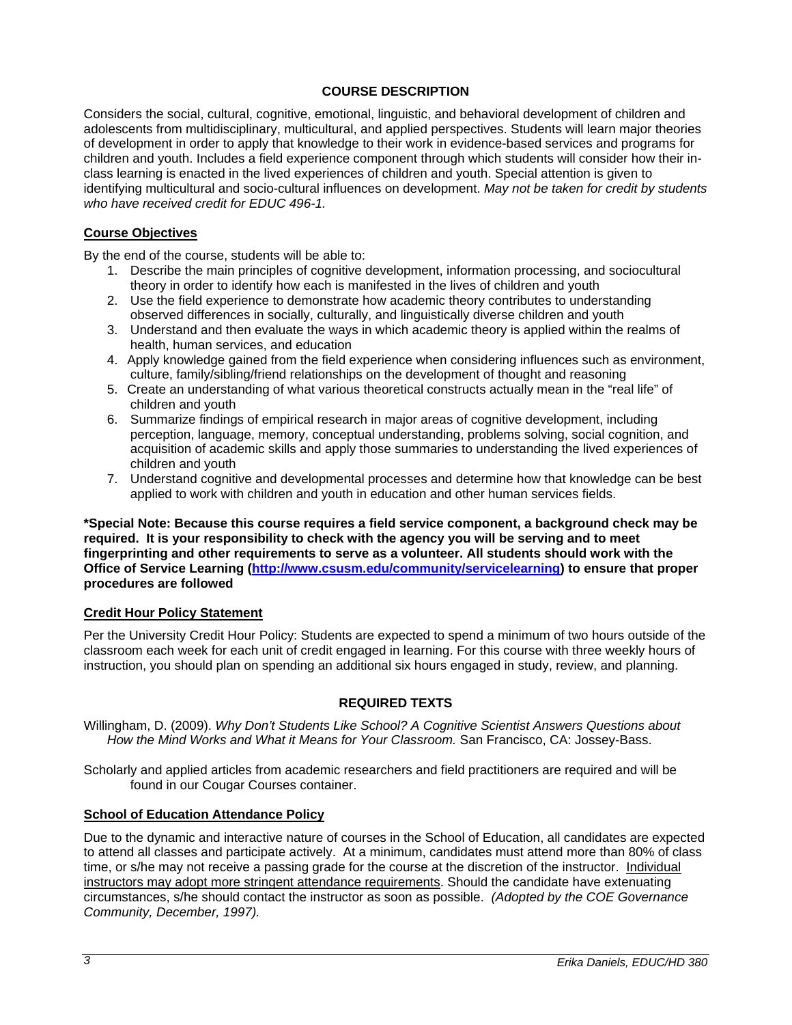### **COURSE DESCRIPTION**

Considers the social, cultural, cognitive, emotional, linguistic, and behavioral development of children and adolescents from multidisciplinary, multicultural, and applied perspectives. Students will learn major theories of development in order to apply that knowledge to their work in evidence-based services and programs for children and youth. Includes a field experience component through which students will consider how their inclass learning is enacted in the lived experiences of children and youth. Special attention is given to identifying multicultural and socio-cultural influences on development. *May not be taken for credit by students who have received credit for EDUC 496-1.* 

## **Course Objectives**

By the end of the course, students will be able to:

- 1. Describe the main principles of cognitive development, information processing, and sociocultural theory in order to identify how each is manifested in the lives of children and youth
- 2. Use the field experience to demonstrate how academic theory contributes to understanding observed differences in socially, culturally, and linguistically diverse children and youth
- 3. Understand and then evaluate the ways in which academic theory is applied within the realms of health, human services, and education
- 4. Apply knowledge gained from the field experience when considering influences such as environment, culture, family/sibling/friend relationships on the development of thought and reasoning
- 5. Create an understanding of what various theoretical constructs actually mean in the "real life" of children and youth
- 6. Summarize findings of empirical research in major areas of cognitive development, including perception, language, memory, conceptual understanding, problems solving, social cognition, and acquisition of academic skills and apply those summaries to understanding the lived experiences of children and youth
- 7. Understand cognitive and developmental processes and determine how that knowledge can be best applied to work with children and youth in education and other human services fields.

**\*Special Note: Because this course requires a field service component, a background check may be required. It is your responsibility to check with the agency you will be serving and to meet fingerprinting and other requirements to serve as a volunteer. All students should work with the Office of Service Learning (http://www.csusm.edu/community/servicelearning) to ensure that proper procedures are followed**

### **Credit Hour Policy Statement**

Per the University Credit Hour Policy: Students are expected to spend a minimum of two hours outside of the classroom each week for each unit of credit engaged in learning. For this course with three weekly hours of instruction, you should plan on spending an additional six hours engaged in study, review, and planning.

### **REQUIRED TEXTS**

Willingham, D. (2009). *Why Don't Students Like School? A Cognitive Scientist Answers Questions about How the Mind Works and What it Means for Your Classroom.* San Francisco, CA: Jossey-Bass.

Scholarly and applied articles from academic researchers and field practitioners are required and will be found in our Cougar Courses container.

### **School of Education Attendance Policy**

Due to the dynamic and interactive nature of courses in the School of Education, all candidates are expected to attend all classes and participate actively. At a minimum, candidates must attend more than 80% of class time, or s/he may not receive a passing grade for the course at the discretion of the instructor. Individual instructors may adopt more stringent attendance requirements. Should the candidate have extenuating circumstances, s/he should contact the instructor as soon as possible. *(Adopted by the COE Governance Community, December, 1997).*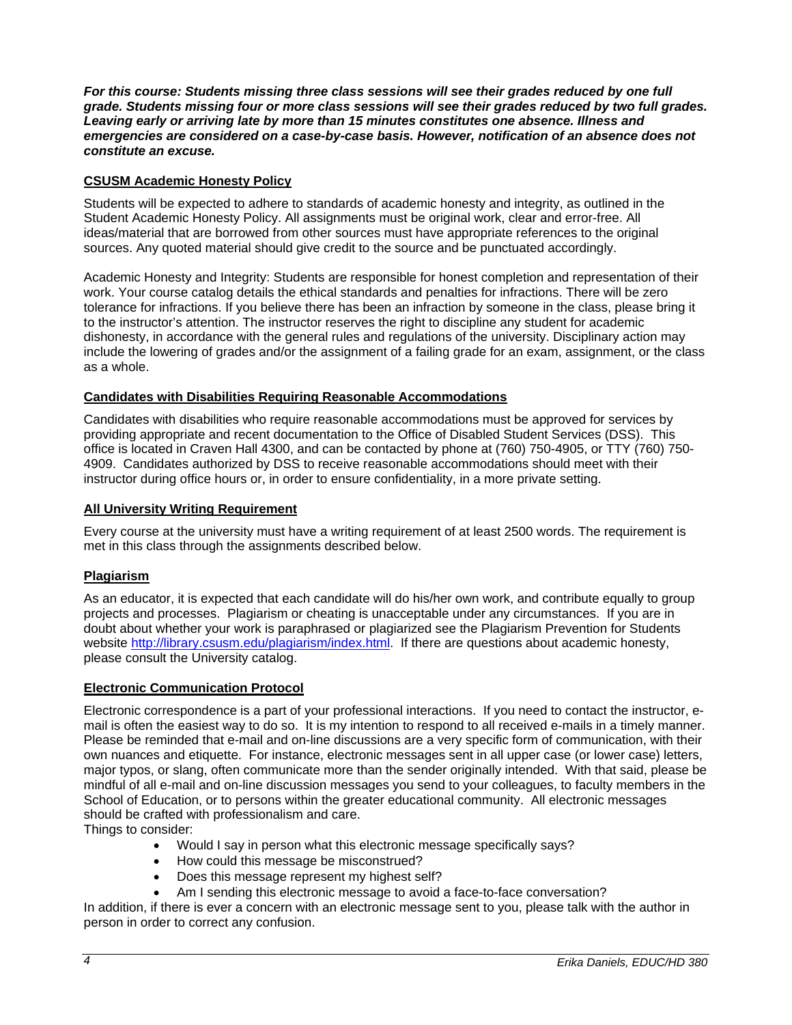*For this course: Students missing three class sessions will see their grades reduced by one full grade. Students missing four or more class sessions will see their grades reduced by two full grades. Leaving early or arriving late by more than 15 minutes constitutes one absence. Illness and emergencies are considered on a case-by-case basis. However, notification of an absence does not constitute an excuse.* 

## **CSUSM Academic Honesty Policy**

Students will be expected to adhere to standards of academic honesty and integrity, as outlined in the Student Academic Honesty Policy. All assignments must be original work, clear and error-free. All ideas/material that are borrowed from other sources must have appropriate references to the original sources. Any quoted material should give credit to the source and be punctuated accordingly.

Academic Honesty and Integrity: Students are responsible for honest completion and representation of their work. Your course catalog details the ethical standards and penalties for infractions. There will be zero tolerance for infractions. If you believe there has been an infraction by someone in the class, please bring it to the instructor's attention. The instructor reserves the right to discipline any student for academic dishonesty, in accordance with the general rules and regulations of the university. Disciplinary action may include the lowering of grades and/or the assignment of a failing grade for an exam, assignment, or the class as a whole.

### **Candidates with Disabilities Requiring Reasonable Accommodations**

Candidates with disabilities who require reasonable accommodations must be approved for services by providing appropriate and recent documentation to the Office of Disabled Student Services (DSS). This office is located in Craven Hall 4300, and can be contacted by phone at (760) 750-4905, or TTY (760) 750- 4909. Candidates authorized by DSS to receive reasonable accommodations should meet with their instructor during office hours or, in order to ensure confidentiality, in a more private setting.

#### **All University Writing Requirement**

Every course at the university must have a writing requirement of at least 2500 words. The requirement is met in this class through the assignments described below.

### **Plagiarism**

As an educator, it is expected that each candidate will do his/her own work, and contribute equally to group projects and processes. Plagiarism or cheating is unacceptable under any circumstances. If you are in doubt about whether your work is paraphrased or plagiarized see the Plagiarism Prevention for Students website http://library.csusm.edu/plagiarism/index.html. If there are questions about academic honesty, please consult the University catalog.

### **Electronic Communication Protocol**

Electronic correspondence is a part of your professional interactions. If you need to contact the instructor, email is often the easiest way to do so. It is my intention to respond to all received e-mails in a timely manner. Please be reminded that e-mail and on-line discussions are a very specific form of communication, with their own nuances and etiquette. For instance, electronic messages sent in all upper case (or lower case) letters, major typos, or slang, often communicate more than the sender originally intended. With that said, please be mindful of all e-mail and on-line discussion messages you send to your colleagues, to faculty members in the School of Education, or to persons within the greater educational community. All electronic messages should be crafted with professionalism and care.

Things to consider:

- Would I say in person what this electronic message specifically says?
- How could this message be misconstrued?
- Does this message represent my highest self?
- Am I sending this electronic message to avoid a face-to-face conversation?

In addition, if there is ever a concern with an electronic message sent to you, please talk with the author in person in order to correct any confusion.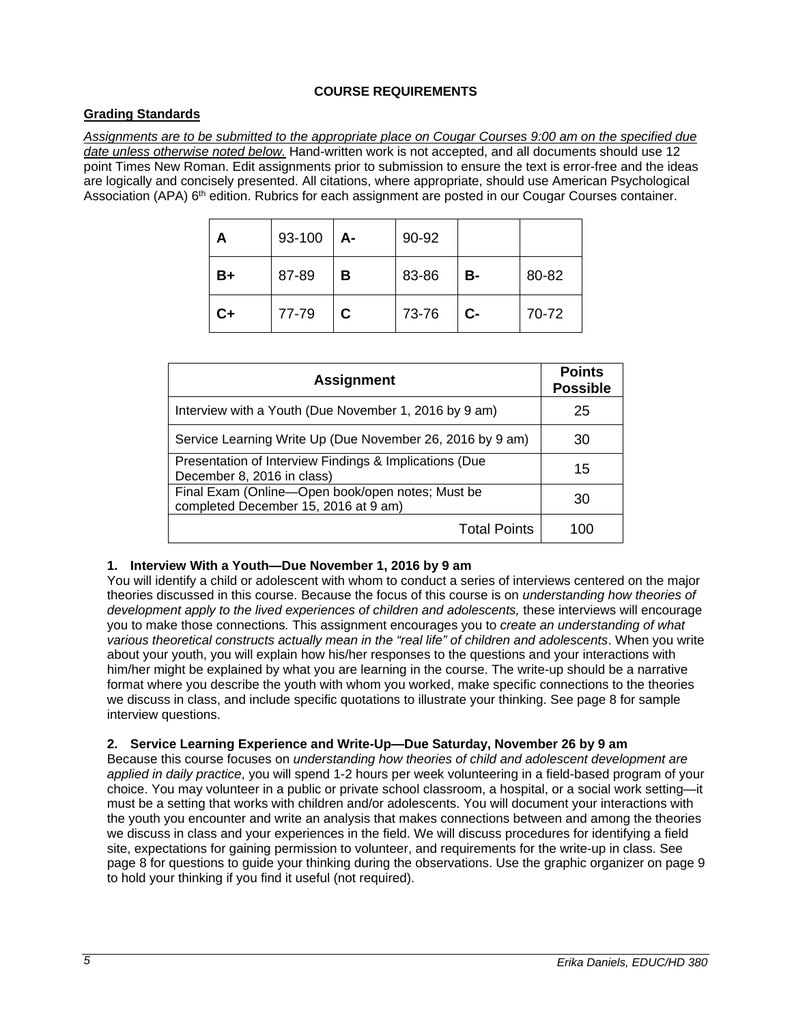## **COURSE REQUIREMENTS**

## **Grading Standards**

*Assignments are to be submitted to the appropriate place on Cougar Courses 9:00 am on the specified due date unless otherwise noted below.* Hand-written work is not accepted, and all documents should use 12 point Times New Roman. Edit assignments prior to submission to ensure the text is error-free and the ideas are logically and concisely presented. All citations, where appropriate, should use American Psychological Association (APA) 6<sup>th</sup> edition. Rubrics for each assignment are posted in our Cougar Courses container.

| А       | 93-100 | A- | 90-92 |      |       |
|---------|--------|----|-------|------|-------|
| B+      | 87-89  | в  | 83-86 | В-   | 80-82 |
| $c_{+}$ | 77-79  | C. | 73-76 | $C-$ | 70-72 |

| <b>Assignment</b>                                                                        | <b>Points</b><br><b>Possible</b> |
|------------------------------------------------------------------------------------------|----------------------------------|
| Interview with a Youth (Due November 1, 2016 by 9 am)                                    | 25                               |
| Service Learning Write Up (Due November 26, 2016 by 9 am)                                | 30                               |
| Presentation of Interview Findings & Implications (Due<br>December 8, 2016 in class)     | 15                               |
| Final Exam (Online-Open book/open notes; Must be<br>completed December 15, 2016 at 9 am) | 30                               |
| <b>Total Points</b>                                                                      | 100                              |

### **1. Interview With a Youth—Due November 1, 2016 by 9 am**

You will identify a child or adolescent with whom to conduct a series of interviews centered on the major theories discussed in this course. Because the focus of this course is on *understanding how theories of*  development apply to the lived experiences of children and adolescents, these interviews will encourage you to make those connections*.* This assignment encourages you to *create an understanding of what various theoretical constructs actually mean in the "real life" of children and adolescents*. When you write about your youth, you will explain how his/her responses to the questions and your interactions with him/her might be explained by what you are learning in the course. The write-up should be a narrative format where you describe the youth with whom you worked, make specific connections to the theories we discuss in class, and include specific quotations to illustrate your thinking. See page 8 for sample interview questions.

### **2. Service Learning Experience and Write-Up—Due Saturday, November 26 by 9 am**

Because this course focuses on *understanding how theories of child and adolescent development are applied in daily practice*, you will spend 1-2 hours per week volunteering in a field-based program of your choice. You may volunteer in a public or private school classroom, a hospital, or a social work setting—it must be a setting that works with children and/or adolescents. You will document your interactions with the youth you encounter and write an analysis that makes connections between and among the theories we discuss in class and your experiences in the field. We will discuss procedures for identifying a field site, expectations for gaining permission to volunteer, and requirements for the write-up in class. See page 8 for questions to guide your thinking during the observations. Use the graphic organizer on page 9 to hold your thinking if you find it useful (not required).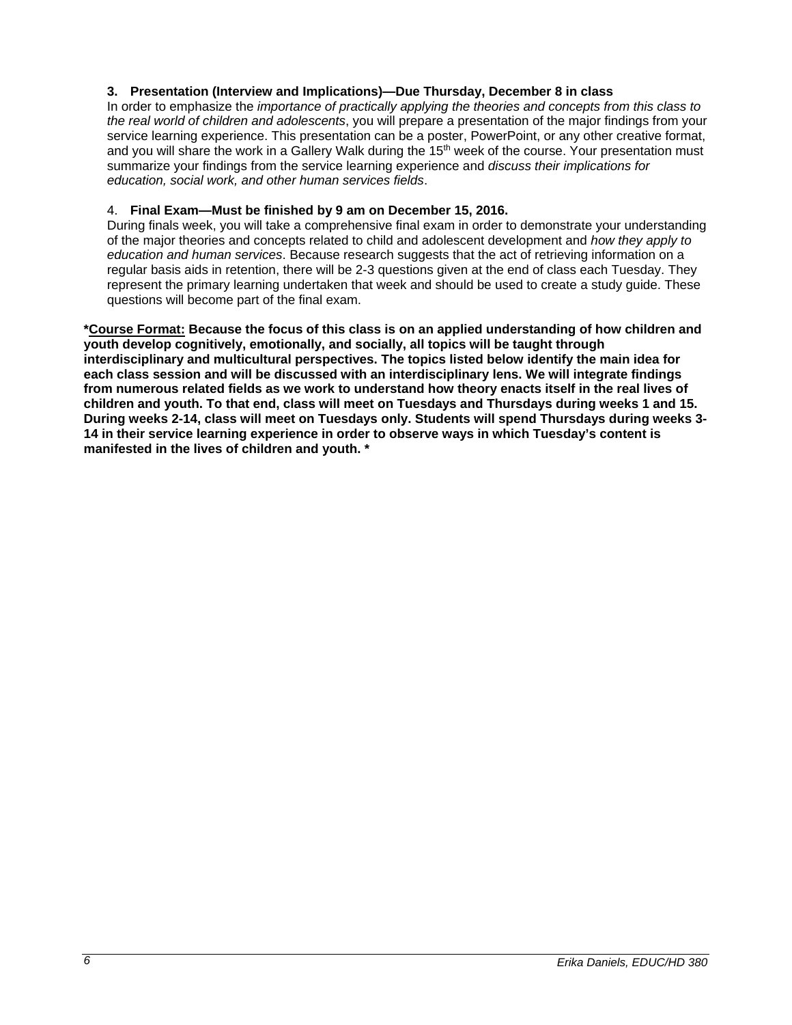### **3. Presentation (Interview and Implications)—Due Thursday, December 8 in class**

In order to emphasize the *importance of practically applying the theories and concepts from this class to the real world of children and adolescents*, you will prepare a presentation of the major findings from your service learning experience. This presentation can be a poster, PowerPoint, or any other creative format, and you will share the work in a Gallery Walk during the 15<sup>th</sup> week of the course. Your presentation must summarize your findings from the service learning experience and *discuss their implications for education, social work, and other human services fields*.

#### 4. **Final Exam—Must be finished by 9 am on December 15, 2016.**

During finals week, you will take a comprehensive final exam in order to demonstrate your understanding of the major theories and concepts related to child and adolescent development and *how they apply to education and human services*. Because research suggests that the act of retrieving information on a regular basis aids in retention, there will be 2-3 questions given at the end of class each Tuesday. They represent the primary learning undertaken that week and should be used to create a study guide. These questions will become part of the final exam.

**\*Course Format: Because the focus of this class is on an applied understanding of how children and youth develop cognitively, emotionally, and socially, all topics will be taught through interdisciplinary and multicultural perspectives. The topics listed below identify the main idea for each class session and will be discussed with an interdisciplinary lens. We will integrate findings from numerous related fields as we work to understand how theory enacts itself in the real lives of children and youth. To that end, class will meet on Tuesdays and Thursdays during weeks 1 and 15. During weeks 2-14, class will meet on Tuesdays only. Students will spend Thursdays during weeks 3- 14 in their service learning experience in order to observe ways in which Tuesday's content is manifested in the lives of children and youth. \***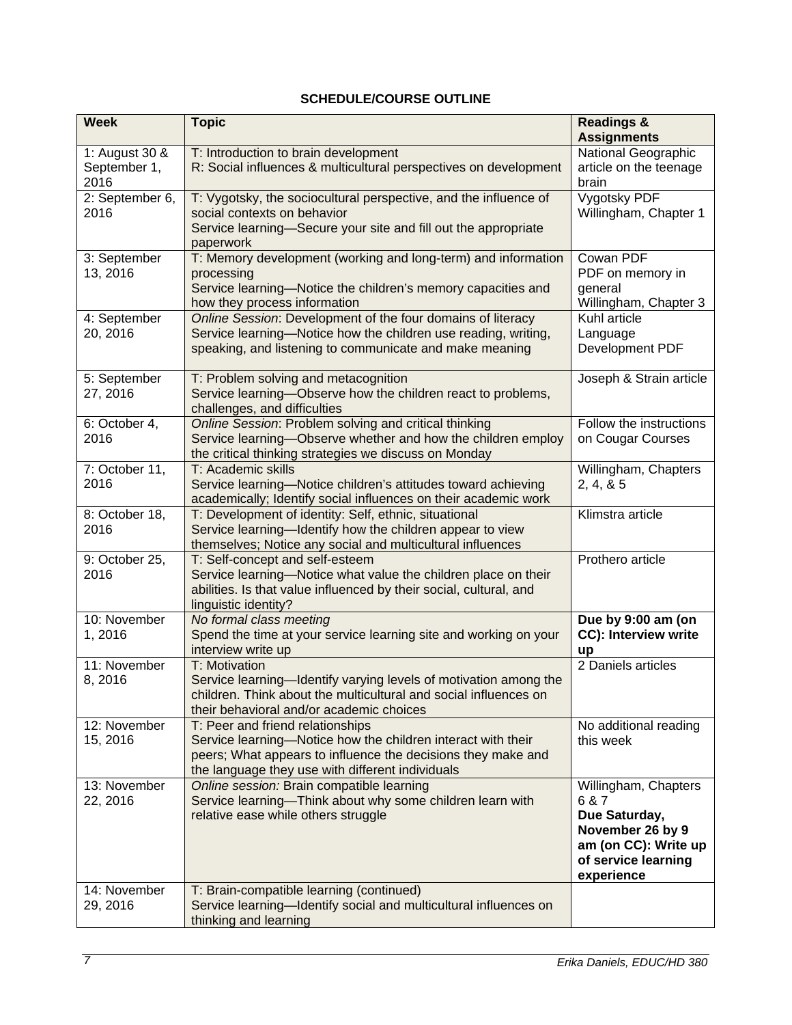# **SCHEDULE/COURSE OUTLINE**

| <b>Week</b>                            | <b>Topic</b>                                                                                                                                                                                                         | <b>Readings &amp;</b><br><b>Assignments</b>                                                                                     |
|----------------------------------------|----------------------------------------------------------------------------------------------------------------------------------------------------------------------------------------------------------------------|---------------------------------------------------------------------------------------------------------------------------------|
| 1: August 30 &<br>September 1,<br>2016 | T: Introduction to brain development<br>R: Social influences & multicultural perspectives on development                                                                                                             | National Geographic<br>article on the teenage<br>brain                                                                          |
| 2: September 6,<br>2016                | T: Vygotsky, the sociocultural perspective, and the influence of<br>social contexts on behavior<br>Service learning-Secure your site and fill out the appropriate<br>paperwork                                       | Vygotsky PDF<br>Willingham, Chapter 1                                                                                           |
| 3: September<br>13, 2016               | T: Memory development (working and long-term) and information<br>processing<br>Service learning-Notice the children's memory capacities and<br>how they process information                                          | Cowan PDF<br>PDF on memory in<br>general<br>Willingham, Chapter 3                                                               |
| 4: September<br>20, 2016               | Online Session: Development of the four domains of literacy<br>Service learning-Notice how the children use reading, writing,<br>speaking, and listening to communicate and make meaning                             | Kuhl article<br>Language<br>Development PDF                                                                                     |
| 5: September<br>27, 2016               | T: Problem solving and metacognition<br>Service learning-Observe how the children react to problems,<br>challenges, and difficulties                                                                                 | Joseph & Strain article                                                                                                         |
| 6: October 4,<br>2016                  | Online Session: Problem solving and critical thinking<br>Service learning-Observe whether and how the children employ<br>the critical thinking strategies we discuss on Monday                                       | Follow the instructions<br>on Cougar Courses                                                                                    |
| 7: October 11,<br>2016                 | T: Academic skills<br>Service learning-Notice children's attitudes toward achieving<br>academically; Identify social influences on their academic work                                                               | Willingham, Chapters<br>2, 4, 8, 5                                                                                              |
| 8: October 18,<br>2016                 | T: Development of identity: Self, ethnic, situational<br>Service learning-Identify how the children appear to view<br>themselves; Notice any social and multicultural influences                                     | Klimstra article                                                                                                                |
| 9: October 25,<br>2016                 | T: Self-concept and self-esteem<br>Service learning-Notice what value the children place on their<br>abilities. Is that value influenced by their social, cultural, and<br>linguistic identity?                      | Prothero article                                                                                                                |
| 10: November<br>1,2016                 | No formal class meeting<br>Spend the time at your service learning site and working on your<br>interview write up                                                                                                    | Due by 9:00 am (on<br>CC): Interview write<br>up                                                                                |
| 11: November<br>8,2016                 | T: Motivation<br>Service learning-Identify varying levels of motivation among the<br>children. Think about the multicultural and social influences on<br>their behavioral and/or academic choices                    | 2 Daniels articles                                                                                                              |
| 12: November<br>15, 2016               | T: Peer and friend relationships<br>Service learning-Notice how the children interact with their<br>peers; What appears to influence the decisions they make and<br>the language they use with different individuals | No additional reading<br>this week                                                                                              |
| 13: November<br>22, 2016               | Online session: Brain compatible learning<br>Service learning-Think about why some children learn with<br>relative ease while others struggle                                                                        | Willingham, Chapters<br>6 & 7<br>Due Saturday,<br>November 26 by 9<br>am (on CC): Write up<br>of service learning<br>experience |
| 14: November<br>29, 2016               | T: Brain-compatible learning (continued)<br>Service learning-Identify social and multicultural influences on<br>thinking and learning                                                                                |                                                                                                                                 |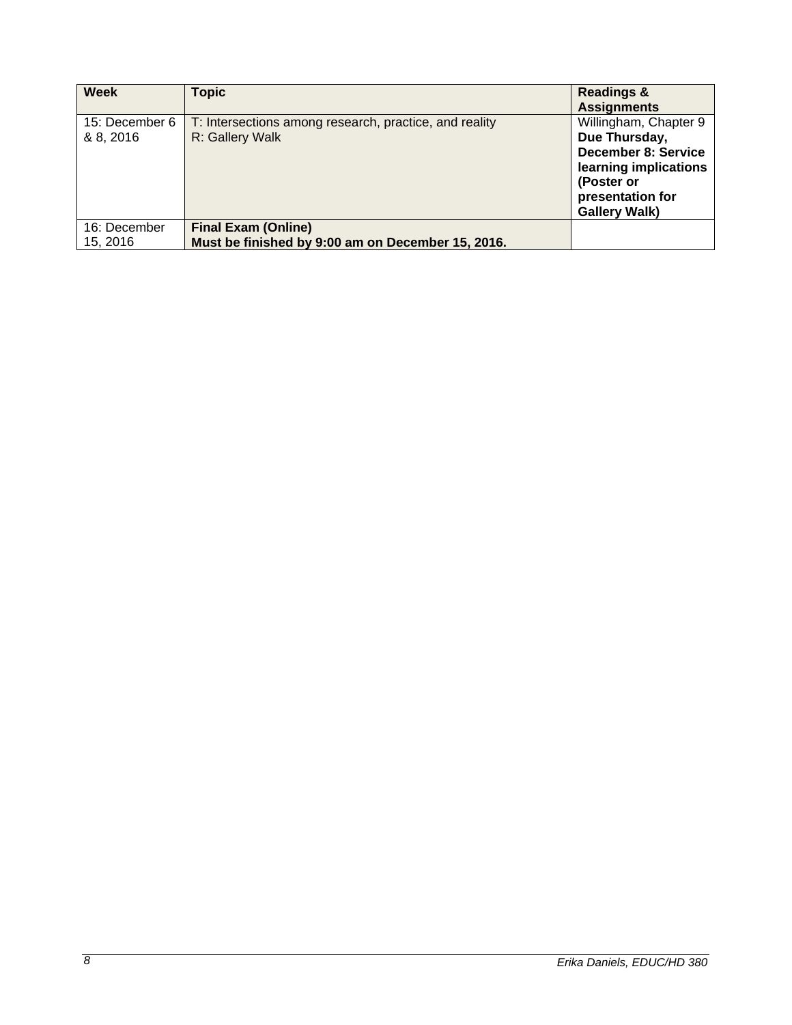| <b>Week</b>    | <b>Topic</b>                                           | <b>Readings &amp;</b>      |
|----------------|--------------------------------------------------------|----------------------------|
|                |                                                        | <b>Assignments</b>         |
| 15: December 6 | T: Intersections among research, practice, and reality | Willingham, Chapter 9      |
| & 8, 2016      | R: Gallery Walk                                        | Due Thursday,              |
|                |                                                        | <b>December 8: Service</b> |
|                |                                                        | learning implications      |
|                |                                                        | (Poster or                 |
|                |                                                        | presentation for           |
|                |                                                        | <b>Gallery Walk)</b>       |
| 16: December   | <b>Final Exam (Online)</b>                             |                            |
| 15, 2016       | Must be finished by 9:00 am on December 15, 2016.      |                            |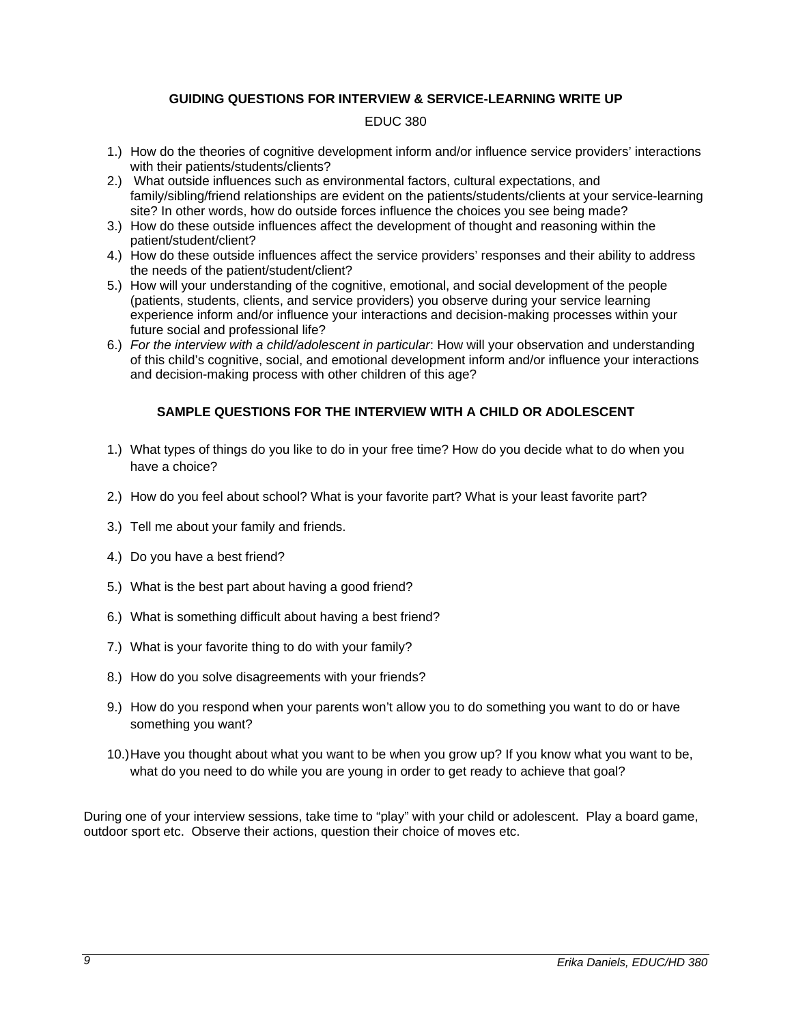### **GUIDING QUESTIONS FOR INTERVIEW & SERVICE-LEARNING WRITE UP**

#### EDUC 380

- 1.) How do the theories of cognitive development inform and/or influence service providers' interactions with their patients/students/clients?
- 2.) What outside influences such as environmental factors, cultural expectations, and family/sibling/friend relationships are evident on the patients/students/clients at your service-learning site? In other words, how do outside forces influence the choices you see being made?
- 3.) How do these outside influences affect the development of thought and reasoning within the patient/student/client?
- 4.) How do these outside influences affect the service providers' responses and their ability to address the needs of the patient/student/client?
- 5.) How will your understanding of the cognitive, emotional, and social development of the people (patients, students, clients, and service providers) you observe during your service learning experience inform and/or influence your interactions and decision-making processes within your future social and professional life?
- 6.) *For the interview with a child/adolescent in particular*: How will your observation and understanding of this child's cognitive, social, and emotional development inform and/or influence your interactions and decision-making process with other children of this age?

### **SAMPLE QUESTIONS FOR THE INTERVIEW WITH A CHILD OR ADOLESCENT**

- 1.) What types of things do you like to do in your free time? How do you decide what to do when you have a choice?
- 2.) How do you feel about school? What is your favorite part? What is your least favorite part?
- 3.) Tell me about your family and friends.
- 4.) Do you have a best friend?
- 5.) What is the best part about having a good friend?
- 6.) What is something difficult about having a best friend?
- 7.) What is your favorite thing to do with your family?
- 8.) How do you solve disagreements with your friends?
- 9.) How do you respond when your parents won't allow you to do something you want to do or have something you want?
- 10.) Have you thought about what you want to be when you grow up? If you know what you want to be, what do you need to do while you are young in order to get ready to achieve that goal?

During one of your interview sessions, take time to "play" with your child or adolescent. Play a board game, outdoor sport etc. Observe their actions, question their choice of moves etc.